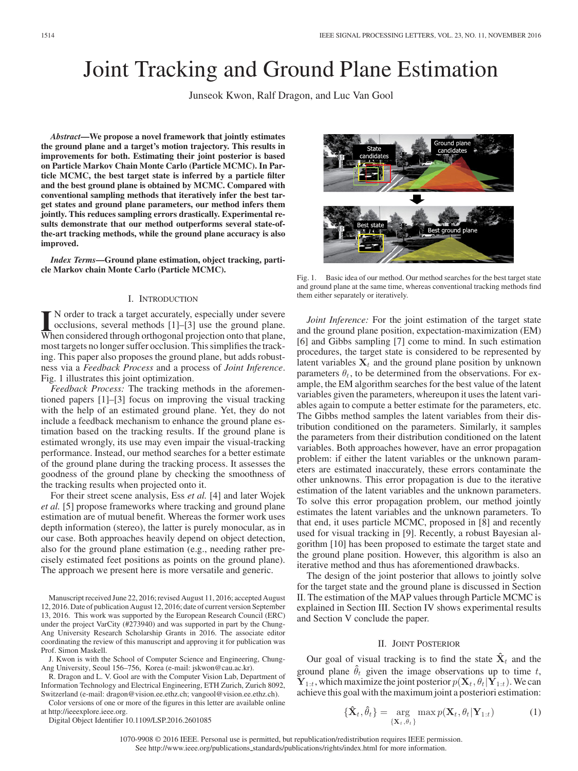# Joint Tracking and Ground Plane Estimation

Junseok Kwon, Ralf Dragon, and Luc Van Gool

*Abstract***—We propose a novel framework that jointly estimates the ground plane and a target's motion trajectory. This results in improvements for both. Estimating their joint posterior is based on Particle Markov Chain Monte Carlo (Particle MCMC). In Particle MCMC, the best target state is inferred by a particle filter and the best ground plane is obtained by MCMC. Compared with conventional sampling methods that iteratively infer the best target states and ground plane parameters, our method infers them jointly. This reduces sampling errors drastically. Experimental results demonstrate that our method outperforms several state-ofthe-art tracking methods, while the ground plane accuracy is also improved.**

*Index Terms***—Ground plane estimation, object tracking, particle Markov chain Monte Carlo (Particle MCMC).**

## I. INTRODUCTION

**I** N order to track a target accurately, especially under severe occlusions, several methods [1]–[3] use the ground plane.<br>When considered through orthogonal projection onto that plane, N order to track a target accurately, especially under severe occlusions, several methods [1]–[3] use the ground plane. most targets no longer suffer occlusion. This simplifies the tracking. This paper also proposes the ground plane, but adds robustness via a *Feedback Process* and a process of *Joint Inference*. Fig. 1 illustrates this joint optimization.

*Feedback Process:* The tracking methods in the aforementioned papers [1]–[3] focus on improving the visual tracking with the help of an estimated ground plane. Yet, they do not include a feedback mechanism to enhance the ground plane estimation based on the tracking results. If the ground plane is estimated wrongly, its use may even impair the visual-tracking performance. Instead, our method searches for a better estimate of the ground plane during the tracking process. It assesses the goodness of the ground plane by checking the smoothness of the tracking results when projected onto it.

For their street scene analysis, Ess *et al.* [4] and later Wojek *et al.* [5] propose frameworks where tracking and ground plane estimation are of mutual benefit. Whereas the former work uses depth information (stereo), the latter is purely monocular, as in our case. Both approaches heavily depend on object detection, also for the ground plane estimation (e.g., needing rather precisely estimated feet positions as points on the ground plane). The approach we present here is more versatile and generic.

Manuscript received June 22, 2016; revised August 11, 2016; accepted August 12, 2016. Date of publication August 12, 2016; date of current version September 13, 2016. This work was supported by the European Research Council (ERC) under the project VarCity (#273940) and was supported in part by the Chung-Ang University Research Scholarship Grants in 2016. The associate editor coordinating the review of this manuscript and approving it for publication was Prof. Simon Maskell.

J. Kwon is with the School of Computer Science and Engineering, Chung-Ang University, Seoul 156–756, Korea (e-mail: jskwon@cau.ac.kr).

R. Dragon and L. V. Gool are with the Computer Vision Lab, Department of Information Technology and Electrical Engineering, ETH Zurich, Zurich 8092, Switzerland (e-mail: dragon@vision.ee.ethz.ch; vangool@vision.ee.ethz.ch).

Color versions of one or more of the figures in this letter are available online

at http://ieeexplore.ieee.org. Digital Object Identifier 10.1109/LSP.2016.2601085



Fig. 1. Basic idea of our method. Our method searches for the best target state and ground plane at the same time, whereas conventional tracking methods find them either separately or iteratively.

*Joint Inference:* For the joint estimation of the target state and the ground plane position, expectation-maximization (EM) [6] and Gibbs sampling [7] come to mind. In such estimation procedures, the target state is considered to be represented by latent variables  $X_t$  and the ground plane position by unknown parameters  $\theta_t$ , to be determined from the observations. For example, the EM algorithm searches for the best value of the latent variables given the parameters, whereupon it uses the latent variables again to compute a better estimate for the parameters, etc. The Gibbs method samples the latent variables from their distribution conditioned on the parameters. Similarly, it samples the parameters from their distribution conditioned on the latent variables. Both approaches however, have an error propagation problem: if either the latent variables or the unknown parameters are estimated inaccurately, these errors contaminate the other unknowns. This error propagation is due to the iterative estimation of the latent variables and the unknown parameters. To solve this error propagation problem, our method jointly estimates the latent variables and the unknown parameters. To that end, it uses particle MCMC, proposed in [8] and recently used for visual tracking in [9]. Recently, a robust Bayesian algorithm [10] has been proposed to estimate the target state and the ground plane position. However, this algorithm is also an iterative method and thus has aforementioned drawbacks.

The design of the joint posterior that allows to jointly solve for the target state and the ground plane is discussed in Section II. The estimation of the MAP values through Particle MCMC is explained in Section III. Section IV shows experimental results and Section V conclude the paper.

# II. JOINT POSTERIOR

Our goal of visual tracking is to find the state  $X_t$  and the ground plane  $\hat{\theta}_t$  given the image observations up to time t,  $\mathbf{Y}_{1:t}$ , which maximize the joint posterior  $p(\mathbf{X}_t, \theta_t | \mathbf{Y}_{1:t})$ . We can achieve this goal with the maximum joint a posteriori estimation:

$$
\{\hat{\mathbf{X}}_t, \hat{\theta}_t\} = \underset{\{\mathbf{X}_t, \theta_t\}}{\arg} \max p(\mathbf{X}_t, \theta_t | \mathbf{Y}_{1:t})
$$
(1)

1070-9908 © 2016 IEEE. Personal use is permitted, but republication/redistribution requires IEEE permission. See http://www.ieee.org/publications\_[standards/publications/rights/index.html](http://www.ieee.org/publications_standards/publications/rights/index.html) for more information.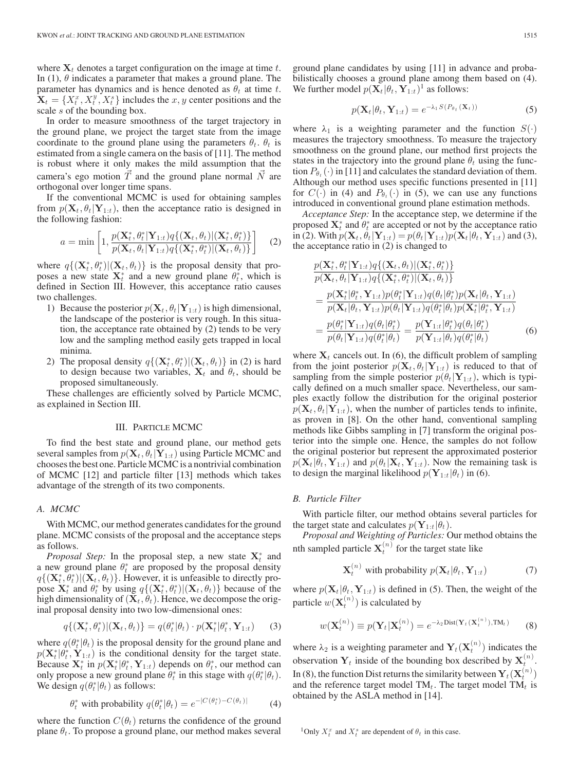where  $X_t$  denotes a target configuration on the image at time  $t$ . In (1),  $\theta$  indicates a parameter that makes a ground plane. The parameter has dynamics and is hence denoted as  $\theta_t$  at time t.  $\mathbf{X}_t = \{X_t^x, X_t^y, X_t^s\}$  includes the x, y center positions and the scale s of the bounding box.

In order to measure smoothness of the target trajectory in the ground plane, we project the target state from the image coordinate to the ground plane using the parameters  $\theta_t$ .  $\theta_t$  is estimated from a single camera on the basis of [11]. The method is robust where it only makes the mild assumption that the camera's ego motion  $\vec{T}$  and the ground plane normal  $\vec{N}$  are orthogonal over longer time spans.

If the conventional MCMC is used for obtaining samples from  $p(\mathbf{X}_t, \theta_t | \mathbf{Y}_{1:t})$ , then the acceptance ratio is designed in the following fashion:

$$
a = \min\left[1, \frac{p(\mathbf{X}_t^*, \theta_t^* | \mathbf{Y}_{1:t}) q\{(\mathbf{X}_t, \theta_t) | (\mathbf{X}_t^*, \theta_t^*)\}}{p(\mathbf{X}_t, \theta_t | \mathbf{Y}_{1:t}) q\{(\mathbf{X}_t^*, \theta_t^*) | (\mathbf{X}_t, \theta_t)\}}\right]
$$
(2)

where  $q\{(\mathbf{X}_t^*, \theta_t^*) | (\mathbf{X}_t, \theta_t)\}\$ is the proposal density that proposes a new state  $X_t^*$  and a new ground plane  $\theta_t^*$ , which is defined in Section III. However, this acceptance ratio causes two challenges.

- 1) Because the posterior  $p(\mathbf{X}_t, \theta_t | \mathbf{Y}_{1:t})$  is high dimensional, the landscape of the posterior is very rough. In this situation, the acceptance rate obtained by (2) tends to be very low and the sampling method easily gets trapped in local minima.
- 2) The proposal density  $q\{(\mathbf{X}_t^*, \theta_t^*) | (\mathbf{X}_t, \theta_t)\}\$ in (2) is hard to design because two variables,  $X_t$  and  $\theta_t$ , should be proposed simultaneously.

These challenges are efficiently solved by Particle MCMC, as explained in Section III.

# III. PARTICLE MCMC

To find the best state and ground plane, our method gets several samples from  $p(\mathbf{X}_t, \theta_t | \mathbf{Y}_{1:t})$  using Particle MCMC and chooses the best one. Particle MCMC is a nontrivial combination of MCMC [12] and particle filter [13] methods which takes advantage of the strength of its two components.

# *A. MCMC*

With MCMC, our method generates candidates for the ground plane. MCMC consists of the proposal and the acceptance steps as follows.

*Proposal Step:* In the proposal step, a new state  $X_t^*$  and a new ground plane  $\theta_t^*$  are proposed by the proposal density  $q\{(\mathbf{X}_t^*, \theta_t^*)|(\mathbf{X}_t, \theta_t)\}\$ . However, it is unfeasible to directly propose  $\mathbf{X}_t^*$  and  $\theta_t^*$  by using  $q\{(\mathbf{X}_t^*, \theta_t^*) | (\mathbf{X}_t, \theta_t)\}$  because of the high dimensionality of  $(\mathbf{X}_t, \theta_t)$ . Hence, we decompose the original proposal density into two low-dimensional ones:

$$
q\{(\mathbf{X}_t^*, \theta_t^*) | (\mathbf{X}_t, \theta_t)\} = q(\theta_t^* | \theta_t) \cdot p(\mathbf{X}_t^* | \theta_t^*, \mathbf{Y}_{1:t})
$$
 (3)

where  $q(\theta_t^* | \theta_t)$  is the proposal density for the ground plane and  $p(\mathbf{X}_{t}^{*} | \theta_{t}^{*}, \mathbf{Y}_{1:t})$  is the conditional density for the target state. Because  $\mathbf{X}_t^*$  in  $p(\mathbf{X}_t^* | \theta_t^*, \mathbf{Y}_{1:t})$  depends on  $\theta_t^*$ , our method can only propose a new ground plane  $\theta_t^*$  in this stage with  $q(\theta_t^*|\theta_t)$ . We design  $q(\theta_t^* | \theta_t)$  as follows:

$$
\theta_t^* \text{ with probability } q(\theta_t^* | \theta_t) = e^{-|C(\theta_t^*) - C(\theta_t)|} \tag{4}
$$

where the function  $C(\theta_t)$  returns the confidence of the ground plane  $\theta_t$ . To propose a ground plane, our method makes several ground plane candidates by using [11] in advance and probabilistically chooses a ground plane among them based on (4). We further model  $p(\mathbf{X}_t | \theta_t, \mathbf{Y}_{1:t})^1$  as follows:

$$
p(\mathbf{X}_t | \theta_t, \mathbf{Y}_{1:t}) = e^{-\lambda_1 S(P_{\theta_t}(\mathbf{X}_t))}
$$
\n(5)

where  $\lambda_1$  is a weighting parameter and the function  $S(\cdot)$ measures the trajectory smoothness. To measure the trajectory smoothness on the ground plane, our method first projects the states in the trajectory into the ground plane  $\theta_t$  using the function  $P_{\theta_t}(\cdot)$  in [11] and calculates the standard deviation of them. Although our method uses specific functions presented in [11] for  $C(\cdot)$  in (4) and  $P_{\theta_t}(\cdot)$  in (5), we can use any functions introduced in conventional ground plane estimation methods.

*Acceptance Step:* In the acceptance step, we determine if the proposed  $\mathbf{X}_t^*$  and  $\theta_t^*$  are accepted or not by the acceptance ratio in (2). With  $p(\mathbf{X}_t, \theta_t | \mathbf{Y}_{1:t}) = p(\theta_t | \mathbf{Y}_{1:t})p(\mathbf{X}_t | \theta_t, \mathbf{Y}_{1:t})$  and (3), the acceptance ratio in (2) is changed to

$$
\frac{p(\mathbf{X}_t^*, \theta_t^* | \mathbf{Y}_{1:t}) q\{(\mathbf{X}_t, \theta_t) | (\mathbf{X}_t^*, \theta_t^*)\}}{p(\mathbf{X}_t, \theta_t | \mathbf{Y}_{1:t}) q\{(\mathbf{X}_t^*, \theta_t^*) | (\mathbf{X}_t, \theta_t)\}}
$$
\n
$$
= \frac{p(\mathbf{X}_t^* | \theta_t^*, \mathbf{Y}_{1:t}) p(\theta_t^* | \mathbf{Y}_{1:t}) q(\theta_t | \theta_t^*) p(\mathbf{X}_t | \theta_t, \mathbf{Y}_{1:t})}{p(\mathbf{X}_t | \theta_t, \mathbf{Y}_{1:t}) p(\theta_t | \mathbf{Y}_{1:t}) q(\theta_t^* | \theta_t) p(\mathbf{X}_t^* | \theta_t^*, \mathbf{Y}_{1:t})}
$$
\n
$$
= \frac{p(\theta_t^* | \mathbf{Y}_{1:t}) q(\theta_t | \theta_t^*)}{p(\theta_t | \mathbf{Y}_{1:t}) q(\theta_t^* | \theta_t)} = \frac{p(\mathbf{Y}_{1:t} | \theta_t^*) q(\theta_t | \theta_t^*)}{p(\mathbf{Y}_{1:t} | \theta_t) q(\theta_t^* | \theta_t)} \tag{6}
$$

where  $X_t$  cancels out. In (6), the difficult problem of sampling from the joint posterior  $p(\mathbf{X}_t, \theta_t | \mathbf{Y}_{1:t})$  is reduced to that of sampling from the simple posterior  $p(\theta_t|Y_{1:t})$ , which is typically defined on a much smaller space. Nevertheless, our samples exactly follow the distribution for the original posterior  $p(\mathbf{X}_t, \theta_t | \mathbf{Y}_{1:t})$ , when the number of particles tends to infinite, as proven in [8]. On the other hand, conventional sampling methods like Gibbs sampling in [7] transform the original posterior into the simple one. Hence, the samples do not follow the original posterior but represent the approximated posterior  $p(\mathbf{X}_t | \theta_t, \mathbf{Y}_{1:t})$  and  $p(\theta_t | \mathbf{X}_t, \mathbf{Y}_{1:t})$ . Now the remaining task is to design the marginal likelihood  $p(\mathbf{Y}_{1:t}|\theta_t)$  in (6).

# *B. Particle Filter*

With particle filter, our method obtains several particles for the target state and calculates  $p(\mathbf{Y}_{1:t}|\theta_t)$ .

*Proposal and Weighting of Particles:* Our method obtains the nth sampled particle  $\mathbf{X}_t^{(n)}$  for the target state like

$$
\mathbf{X}_{t}^{(n)} \text{ with probability } p(\mathbf{X}_{t} | \theta_{t}, \mathbf{Y}_{1:t}) \tag{7}
$$

where  $p(\mathbf{X}_t | \theta_t, \mathbf{Y}_{1:t})$  is defined in (5). Then, the weight of the particle  $w(\mathbf{X}_t^{(n)})$  is calculated by

$$
w(\mathbf{X}_t^{(n)}) \equiv p(\mathbf{Y}_t | \mathbf{X}_t^{(n)}) = e^{-\lambda_2 \text{Dist}(\mathbf{Y}_t(\mathbf{X}_t^{(n)}), \text{TM}_t)}
$$
(8)

where  $\lambda_2$  is a weighting parameter and  $\mathbf{Y}_t(\mathbf{X}_t^{(n)})$  indicates the observation  $Y_t$  inside of the bounding box described by  $X_t^{(n)}$ . In (8), the function Dist returns the similarity between  $\mathbf{Y}_t(\mathbf{X}_t^{(n)})$ and the reference target model  $TM_t$ . The target model  $TM_t$  is obtained by the ASLA method in [14].

<sup>1</sup>Only  $X_t^x$  and  $X_t^s$  are dependent of  $\theta_t$  in this case.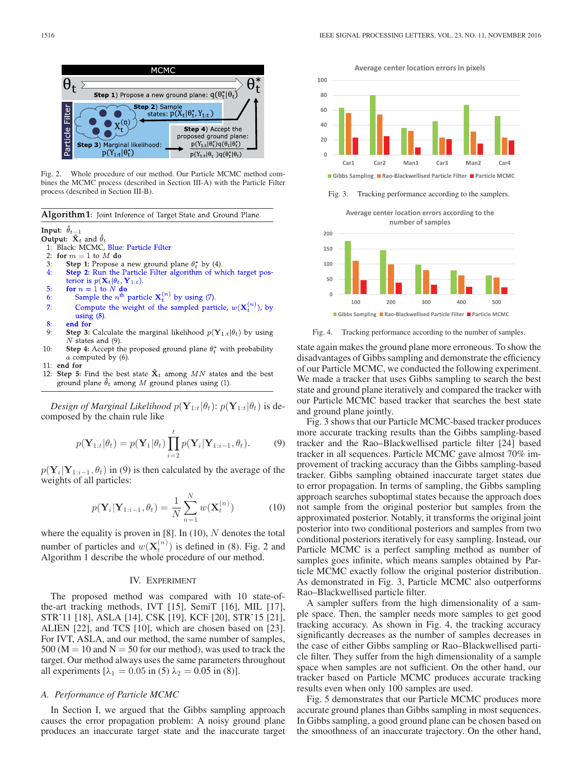



Fig. 3. Tracking performance according to the samplers.

Average center location errors according to the number of samples



Fig. 4. Tracking performance according to the number of samples.

state again makes the ground plane more erroneous. To show the disadvantages of Gibbs sampling and demonstrate the efficiency of our Particle MCMC, we conducted the following experiment. We made a tracker that uses Gibbs sampling to search the best state and ground plane iteratively and compared the tracker with our Particle MCMC based tracker that searches the best state and ground plane jointly.

Fig. 3 shows that our Particle MCMC-based tracker produces more accurate tracking results than the Gibbs sampling-based tracker and the Rao–Blackwellised particle filter [24] based tracker in all sequences. Particle MCMC gave almost 70% improvement of tracking accuracy than the Gibbs sampling-based tracker. Gibbs sampling obtained inaccurate target states due to error propagation. In terms of sampling, the Gibbs sampling approach searches suboptimal states because the approach does not sample from the original posterior but samples from the approximated posterior. Notably, it transforms the original joint posterior into two conditional posteriors and samples from two conditional posteriors iteratively for easy sampling. Instead, our Particle MCMC is a perfect sampling method as number of samples goes infinite, which means samples obtained by Particle MCMC exactly follow the original posterior distribution. As demonstrated in Fig. 3, Particle MCMC also outperforms Rao–Blackwellised particle filter.

A sampler suffers from the high dimensionality of a sample space. Then, the sampler needs more samples to get good tracking accuracy. As shown in Fig. 4, the tracking accuracy significantly decreases as the number of samples decreases in the case of either Gibbs sampling or Rao–Blackwellised particle filter. They suffer from the high dimensionality of a sample space when samples are not sufficient. On the other hand, our tracker based on Particle MCMC produces accurate tracking results even when only 100 samples are used.

Fig. 5 demonstrates that our Particle MCMC produces more accurate ground planes than Gibbs sampling in most sequences. In Gibbs sampling, a good ground plane can be chosen based on the smoothness of an inaccurate trajectory. On the other hand,



Fig. 2. Whole procedure of our method. Our Particle MCMC method combines the MCMC process (described in Section III-A) with the Particle Filter process (described in Section III-B).

Algorithm1: Joint Inference of Target State and Ground Plane.

Input:  $\hat{\theta}_{t-1}$ 

- **Output:**  $\hat{\mathbf{X}}_t$  and  $\hat{\theta}_t$ 1: Black: MCMC, Blue: Particle Filter
- 2: for  $m = 1$  to M do
- $3:$ **Step 1:** Propose a new ground plane  $\theta_t^*$  by (4).
- $4:$ Step 2: Run the Particle Filter algorithm of which target posterior is  $p(\mathbf{X}_t | \theta_t, \mathbf{Y}_{1:t}).$
- $5<sub>1</sub>$ for  $n = 1$  to N do
- Sample the  $n^{\text{th}}$  particle  $\mathbf{X}_t^{(n)}$  by using (7).  $6:$
- Compute the weight of the sampled particle,  $w(\mathbf{X}_{t}^{(n)})$ , by  $7:$ using  $(8)$ .
- $8:$ end for
- $9:$ **Step 3:** Calculate the marginal likelihood  $p(\mathbf{Y}_{1:t}|\theta_t)$  by using  $N$  states and  $(9)$ .
- $10:$ **Step 4:** Accept the proposed ground plane  $\theta_t^*$  with probability  $a$  computed by  $(6)$ .
- 11: end for
- **Step 5:** Find the best state  $\hat{\mathbf{X}}_t$  among  $MN$  states and the best  $12:$ ground plane  $\ddot{\theta}_t$  among M ground planes using (1).

*Design of Marginal Likelihood*  $p(\mathbf{Y}_{1:t}|\theta_t): p(\mathbf{Y}_{1:t}|\theta_t)$  is decomposed by the chain rule like

$$
p(\mathbf{Y}_{1:t}|\theta_t) = p(\mathbf{Y}_1|\theta_t) \prod_{i=2}^t p(\mathbf{Y}_i|\mathbf{Y}_{1:i-1}, \theta_t).
$$
 (9)

 $p(Y_i|Y_{1:i-1}, \theta_t)$  in (9) is then calculated by the average of the weights of all particles:

$$
p(\mathbf{Y}_i|\mathbf{Y}_{1:i-1},\theta_t) = \frac{1}{N} \sum_{n=1}^N w(\mathbf{X}_t^{(n)})
$$
(10)

where the equality is proven in [8]. In  $(10)$ , N denotes the total number of particles and  $w(\mathbf{X}_t^{(n)})$  is defined in (8). Fig. 2 and Algorithm 1 describe the whole procedure of our method.

### IV. EXPERIMENT

The proposed method was compared with 10 state-ofthe-art tracking methods, IVT [15], SemiT [16], MIL [17], STR'11 [18], ASLA [14], CSK [19], KCF [20], STR'15 [21], ALIEN [22], and TCS [10], which are chosen based on [23]. For IVT, ASLA, and our method, the same number of samples, 500 ( $M = 10$  and  $N = 50$  for our method), was used to track the target. Our method always uses the same parameters throughout all experiments  $[\lambda_1 = 0.05 \text{ in (5)} \lambda_2 = 0.05 \text{ in (8)}].$ 

# *A. Performance of Particle MCMC*

In Section I, we argued that the Gibbs sampling approach causes the error propagation problem: A noisy ground plane produces an inaccurate target state and the inaccurate target